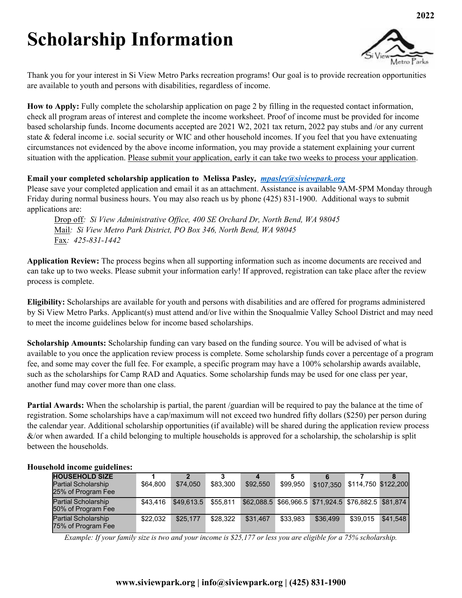## **Scholarship Information**



Thank you for your interest in Si View Metro Parks recreation programs! Our goal is to provide recreation opportunities are available to youth and persons with disabilities, regardless of income.

**How to Apply:** Fully complete the scholarship application on page 2 by filling in the requested contact information, check all program areas of interest and complete the income worksheet. Proof of income must be provided for income based scholarship funds. Income documents accepted are 2021 W2, 2021 tax return, 2022 pay stubs and /or any current state & federal income i.e. social security or WIC and other household incomes. If you feel that you have extenuating circumstances not evidenced by the above income information, you may provide a statement explaining your current situation with the application. Please submit your application, early it can take two weeks to process your application.

### **Email your completed scholarship application to Melissa Pasley***, [mpasley@siviewpark.org](mailto:mpasley@siviewpark.org)*

Please save your completed application and email it as an attachment. Assistance is available 9AM-5PM Monday through Friday during normal business hours. You may also reach us by phone (425) 831-1900. Additional ways to submit applications are:

Drop off*: Si View Administrative Office, 400 SE Orchard Dr, North Bend, WA 98045*  Mail*: Si View Metro Park District, PO Box 346, North Bend, WA 98045*  Fax*: 425-831-1442*

**Application Review:** The process begins when all supporting information such as income documents are received and can take up to two weeks. Please submit your information early! If approved, registration can take place after the review process is complete.

**Eligibility:** Scholarships are available for youth and persons with disabilities and are offered for programs administered by Si View Metro Parks. Applicant(s) must attend and/or live within the Snoqualmie Valley School District and may need to meet the income guidelines below for income based scholarships.

**Scholarship Amounts:** Scholarship funding can vary based on the funding source. You will be advised of what is available to you once the application review process is complete. Some scholarship funds cover a percentage of a program fee, and some may cover the full fee. For example, a specific program may have a 100% scholarship awards available, such as the scholarships for Camp RAD and Aquatics. Some scholarship funds may be used for one class per year, another fund may cover more than one class.

**Partial Awards:** When the scholarship is partial, the parent /guardian will be required to pay the balance at the time of registration. Some scholarships have a cap/maximum will not exceed two hundred fifty dollars (\$250) per person during the calendar year. Additional scholarship opportunities (if available) will be shared during the application review process &/or when awarded*.* If a child belonging to multiple households is approved for a scholarship, the scholarship is split between the households.

#### **Household income guidelines:**

| <b>HOUSEHOLD SIZE</b><br><b>Partial Scholarship</b><br>25% of Program Fee | \$64.800 | 2<br>\$74,050 | \$83,300 | 4<br>\$92,550 | \$99,950 | \$107.350                                            | \$114,750 \$122,200 |          |
|---------------------------------------------------------------------------|----------|---------------|----------|---------------|----------|------------------------------------------------------|---------------------|----------|
| <b>Partial Scholarship</b><br>50% of Program Fee                          | \$43.416 | \$49,613.5    | \$55.811 |               |          | \$62.088.5 \$66.966.5 \$71.924.5 \$76.882.5 \$81.874 |                     |          |
| <b>Partial Scholarship</b><br>75% of Program Fee                          | \$22,032 | \$25,177      | \$28.322 | \$31.467      | \$33,983 | \$36,499                                             | \$39.015            | \$41,548 |

*Example: If your family size is two and your income is \$25,177 or less you are eligible for a 75% scholarship.*

### **www.siviewpark.org | info@siviewpark.org | (425) 831-1900**